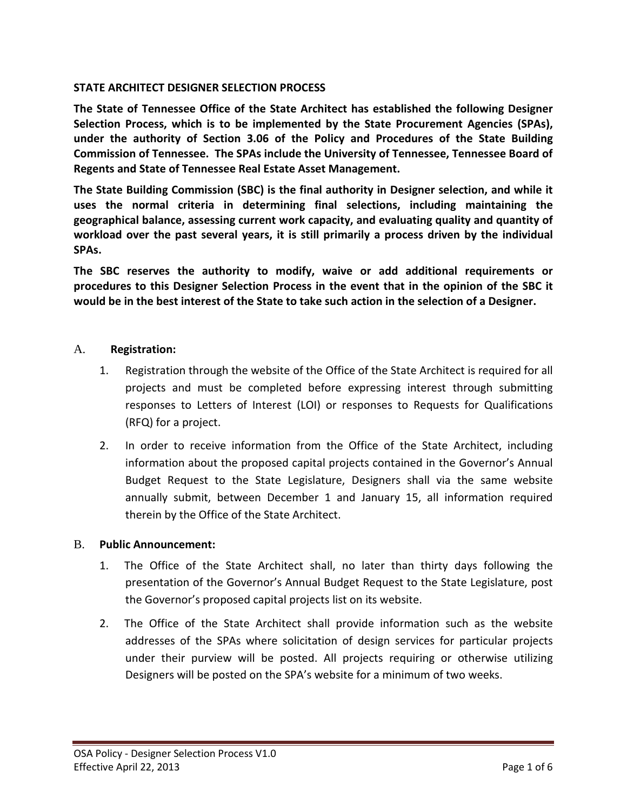### **STATE ARCHITECT DESIGNER SELECTION PROCESS**

**The State of Tennessee Office of the State Architect has established the following Designer Selection Process, which is to be implemented by the State Procurement Agencies (SPAs), under the authority of Section 3.06 of the Policy and Procedures of the State Building Commission of Tennessee. The SPAs include the University of Tennessee, Tennessee Board of Regents and State of Tennessee Real Estate Asset Management.**

**The State Building Commission (SBC) is the final authority in Designer selection, and while it uses the normal criteria in determining final selections, including maintaining the geographical balance, assessing current work capacity, and evaluating quality and quantity of workload over the past several years, it is still primarily a process driven by the individual SPAs.**

**The SBC reserves the authority to modify, waive or add additional requirements or procedures to this Designer Selection Process in the event that in the opinion of the SBC it would be in the best interest of the State to take such action in the selection of a Designer.**

#### A. **Registration:**

- 1. Registration through the website of the Office of the State Architect is required for all projects and must be completed before expressing interest through submitting responses to Letters of Interest (LOI) or responses to Requests for Qualifications (RFQ) for a project.
- 2. In order to receive information from the Office of the State Architect, including information about the proposed capital projects contained in the Governor's Annual Budget Request to the State Legislature, Designers shall via the same website annually submit, between December 1 and January 15, all information required therein by the Office of the State Architect.

#### B. **Public Announcement:**

- 1. The Office of the State Architect shall, no later than thirty days following the presentation of the Governor's Annual Budget Request to the State Legislature, post the Governor's proposed capital projects list on its website.
- 2. The Office of the State Architect shall provide information such as the website addresses of the SPAs where solicitation of design services for particular projects under their purview will be posted. All projects requiring or otherwise utilizing Designers will be posted on the SPA's website for a minimum of two weeks.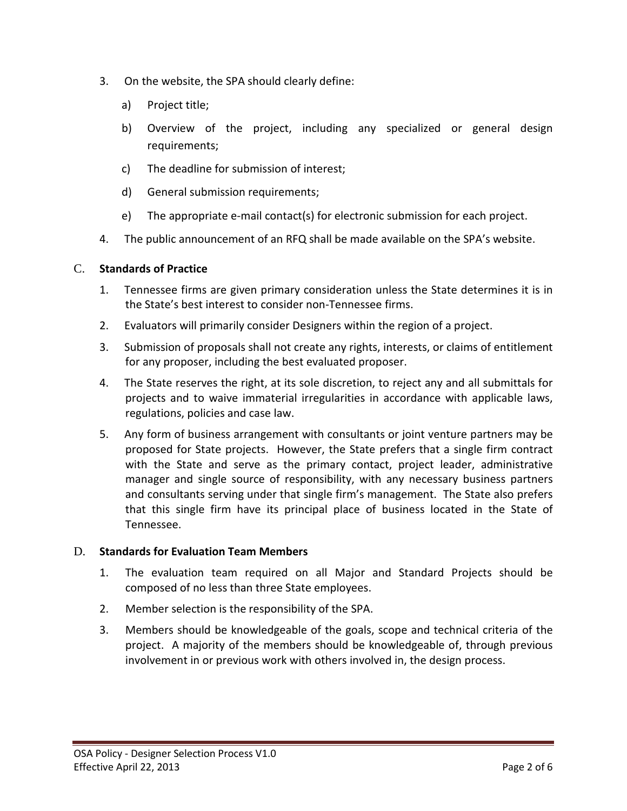- 3. On the website, the SPA should clearly define:
	- a) Project title;
	- b) Overview of the project, including any specialized or general design requirements;
	- c) The deadline for submission of interest;
	- d) General submission requirements;
	- e) The appropriate e-mail contact(s) for electronic submission for each project.
- 4. The public announcement of an RFQ shall be made available on the SPA's website.

# C. **Standards of Practice**

- 1. Tennessee firms are given primary consideration unless the State determines it is in the State's best interest to consider non-Tennessee firms.
- 2. Evaluators will primarily consider Designers within the region of a project.
- 3. Submission of proposals shall not create any rights, interests, or claims of entitlement for any proposer, including the best evaluated proposer.
- 4. The State reserves the right, at its sole discretion, to reject any and all submittals for projects and to waive immaterial irregularities in accordance with applicable laws, regulations, policies and case law.
- 5. Any form of business arrangement with consultants or joint venture partners may be proposed for State projects. However, the State prefers that a single firm contract with the State and serve as the primary contact, project leader, administrative manager and single source of responsibility, with any necessary business partners and consultants serving under that single firm's management. The State also prefers that this single firm have its principal place of business located in the State of Tennessee.

# D. **Standards for Evaluation Team Members**

- 1. The evaluation team required on all Major and Standard Projects should be composed of no less than three State employees.
- 2. Member selection is the responsibility of the SPA.
- 3. Members should be knowledgeable of the goals, scope and technical criteria of the project. A majority of the members should be knowledgeable of, through previous involvement in or previous work with others involved in, the design process.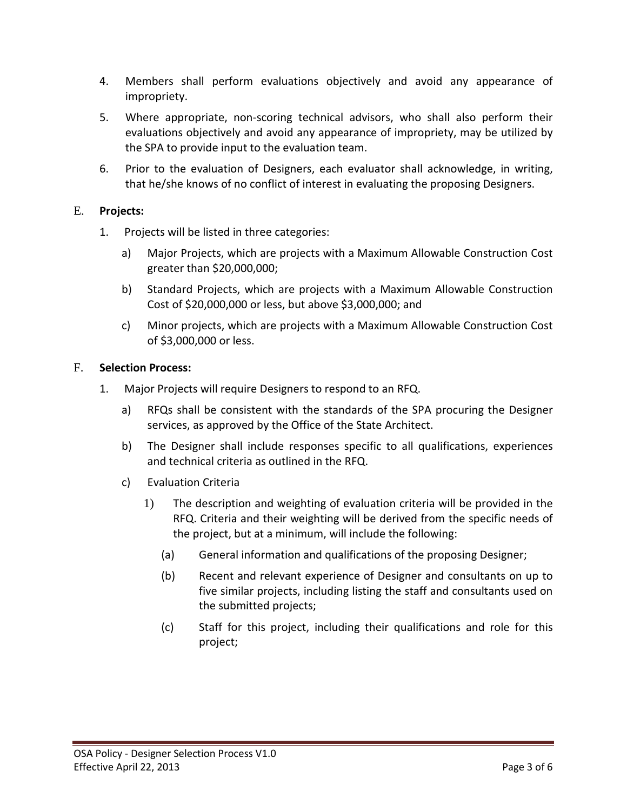- 4. Members shall perform evaluations objectively and avoid any appearance of impropriety.
- 5. Where appropriate, non-scoring technical advisors, who shall also perform their evaluations objectively and avoid any appearance of impropriety, may be utilized by the SPA to provide input to the evaluation team.
- 6. Prior to the evaluation of Designers, each evaluator shall acknowledge, in writing, that he/she knows of no conflict of interest in evaluating the proposing Designers.

# E. **Projects:**

- 1. Projects will be listed in three categories:
	- a) Major Projects, which are projects with a Maximum Allowable Construction Cost greater than \$20,000,000;
	- b) Standard Projects, which are projects with a Maximum Allowable Construction Cost of \$20,000,000 or less, but above \$3,000,000; and
	- c) Minor projects, which are projects with a Maximum Allowable Construction Cost of \$3,000,000 or less.

#### F. **Selection Process:**

- 1. Major Projects will require Designers to respond to an RFQ.
	- a) RFQs shall be consistent with the standards of the SPA procuring the Designer services, as approved by the Office of the State Architect.
	- b) The Designer shall include responses specific to all qualifications, experiences and technical criteria as outlined in the RFQ.
	- c) Evaluation Criteria
		- 1) The description and weighting of evaluation criteria will be provided in the RFQ. Criteria and their weighting will be derived from the specific needs of the project, but at a minimum, will include the following:
			- (a) General information and qualifications of the proposing Designer;
			- (b) Recent and relevant experience of Designer and consultants on up to five similar projects, including listing the staff and consultants used on the submitted projects;
			- (c) Staff for this project, including their qualifications and role for this project;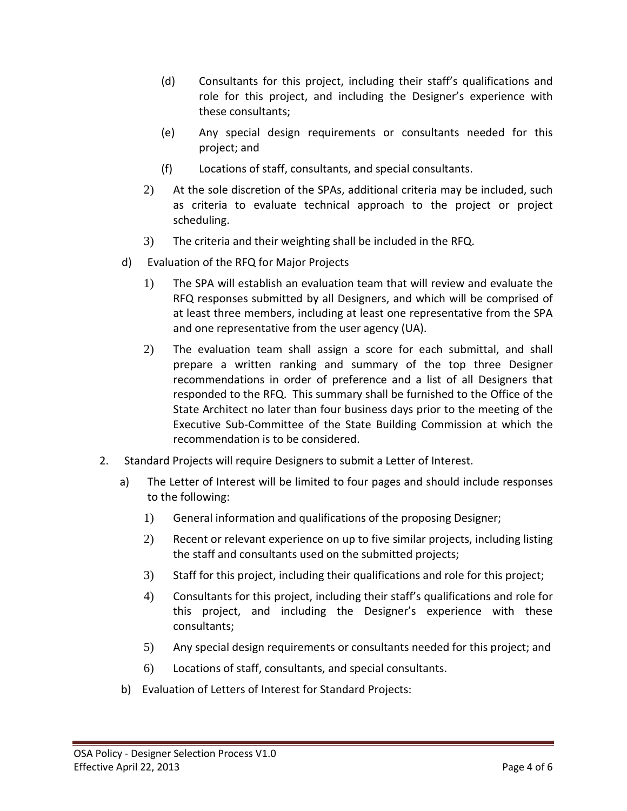- (d) Consultants for this project, including their staff's qualifications and role for this project, and including the Designer's experience with these consultants;
- (e) Any special design requirements or consultants needed for this project; and
- (f) Locations of staff, consultants, and special consultants.
- 2) At the sole discretion of the SPAs, additional criteria may be included, such as criteria to evaluate technical approach to the project or project scheduling.
- 3) The criteria and their weighting shall be included in the RFQ.
- d) Evaluation of the RFQ for Major Projects
	- 1) The SPA will establish an evaluation team that will review and evaluate the RFQ responses submitted by all Designers, and which will be comprised of at least three members, including at least one representative from the SPA and one representative from the user agency (UA).
	- 2) The evaluation team shall assign a score for each submittal, and shall prepare a written ranking and summary of the top three Designer recommendations in order of preference and a list of all Designers that responded to the RFQ. This summary shall be furnished to the Office of the State Architect no later than four business days prior to the meeting of the Executive Sub-Committee of the State Building Commission at which the recommendation is to be considered.
- 2. Standard Projects will require Designers to submit a Letter of Interest.
	- a) The Letter of Interest will be limited to four pages and should include responses to the following:
		- 1) General information and qualifications of the proposing Designer;
		- 2) Recent or relevant experience on up to five similar projects, including listing the staff and consultants used on the submitted projects;
		- 3) Staff for this project, including their qualifications and role for this project;
		- 4) Consultants for this project, including their staff's qualifications and role for this project, and including the Designer's experience with these consultants;
		- 5) Any special design requirements or consultants needed for this project; and
		- 6) Locations of staff, consultants, and special consultants.
	- b) Evaluation of Letters of Interest for Standard Projects: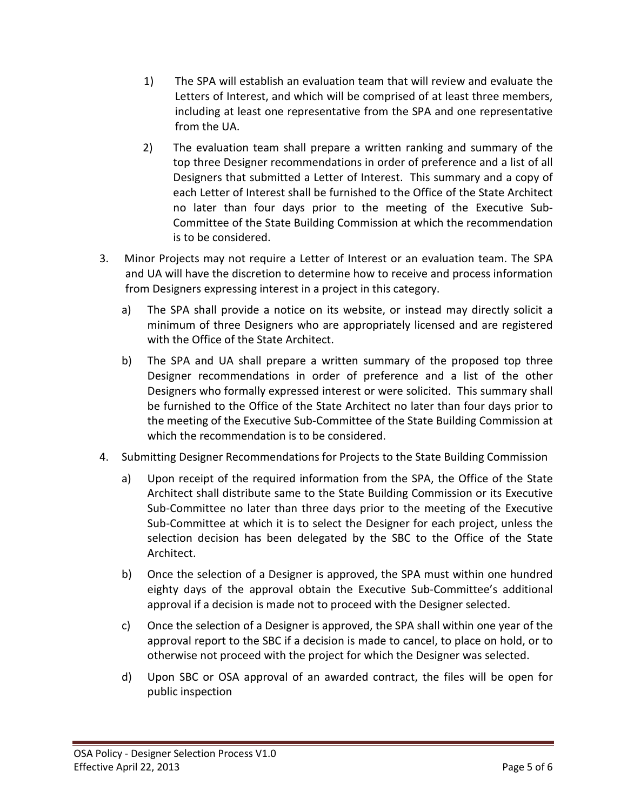- 1) The SPA will establish an evaluation team that will review and evaluate the Letters of Interest, and which will be comprised of at least three members, including at least one representative from the SPA and one representative from the UA.
- 2) The evaluation team shall prepare a written ranking and summary of the top three Designer recommendations in order of preference and a list of all Designers that submitted a Letter of Interest. This summary and a copy of each Letter of Interest shall be furnished to the Office of the State Architect no later than four days prior to the meeting of the Executive Sub-Committee of the State Building Commission at which the recommendation is to be considered.
- 3. Minor Projects may not require a Letter of Interest or an evaluation team. The SPA and UA will have the discretion to determine how to receive and process information from Designers expressing interest in a project in this category.
	- a) The SPA shall provide a notice on its website, or instead may directly solicit a minimum of three Designers who are appropriately licensed and are registered with the Office of the State Architect.
	- b) The SPA and UA shall prepare a written summary of the proposed top three Designer recommendations in order of preference and a list of the other Designers who formally expressed interest or were solicited. This summary shall be furnished to the Office of the State Architect no later than four days prior to the meeting of the Executive Sub-Committee of the State Building Commission at which the recommendation is to be considered.
- 4. Submitting Designer Recommendations for Projects to the State Building Commission
	- a) Upon receipt of the required information from the SPA, the Office of the State Architect shall distribute same to the State Building Commission or its Executive Sub-Committee no later than three days prior to the meeting of the Executive Sub-Committee at which it is to select the Designer for each project, unless the selection decision has been delegated by the SBC to the Office of the State Architect.
	- b) Once the selection of a Designer is approved, the SPA must within one hundred eighty days of the approval obtain the Executive Sub-Committee's additional approval if a decision is made not to proceed with the Designer selected.
	- c) Once the selection of a Designer is approved, the SPA shall within one year of the approval report to the SBC if a decision is made to cancel, to place on hold, or to otherwise not proceed with the project for which the Designer was selected.
	- d) Upon SBC or OSA approval of an awarded contract, the files will be open for public inspection